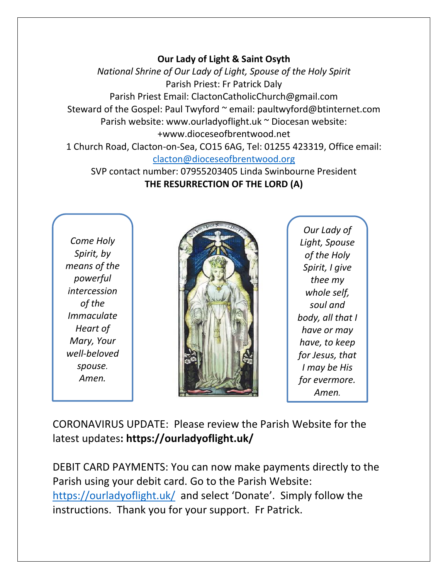## **Our Lady of Light & Saint Osyth**

*National Shrine of Our Lady of Light, Spouse of the Holy Spirit* Parish Priest: Fr Patrick Daly Parish Priest Email: ClactonCatholicChurch@gmail.com Steward of the Gospel: Paul Twyford ~ email: paultwyford@btinternet.com Parish website: www.ourladyoflight.uk ~ Diocesan website: +www.dioceseofbrentwood.net 1 Church Road, Clacton-on-Sea, CO15 6AG, Tel: 01255 423319, Office email:

[clacton@dioceseofbrentwood.org](mailto:clacton@dioceseofbrentwood.org)

SVP contact number: 07955203405 Linda Swinbourne President **THE RESURRECTION OF THE LORD (A)**

*Come Holy Spirit, by means of the powerful intercession of the Immaculate Heart of Mary, Your well-beloved spouse. Amen.*



*Our Lady of Light, Spouse of the Holy Spirit, I give thee my whole self, soul and body, all that I have or may have, to keep for Jesus, that I may be His for evermore. Amen.*

CORONAVIRUS UPDATE: Please review the Parish Website for the latest updates**: https://ourladyoflight.uk/**

DEBIT CARD PAYMENTS: You can now make payments directly to the Parish using your debit card. Go to the Parish Website: <https://ourladyoflight.uk/>and select 'Donate'. Simply follow the instructions. Thank you for your support. Fr Patrick.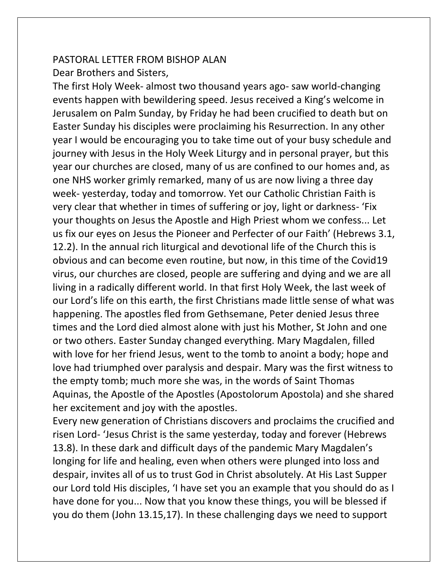## PASTORAL LETTER FROM BISHOP ALAN Dear Brothers and Sisters,

The first Holy Week- almost two thousand years ago- saw world-changing events happen with bewildering speed. Jesus received a King's welcome in Jerusalem on Palm Sunday, by Friday he had been crucified to death but on Easter Sunday his disciples were proclaiming his Resurrection. In any other year I would be encouraging you to take time out of your busy schedule and journey with Jesus in the Holy Week Liturgy and in personal prayer, but this year our churches are closed, many of us are confined to our homes and, as one NHS worker grimly remarked, many of us are now living a three day week- yesterday, today and tomorrow. Yet our Catholic Christian Faith is very clear that whether in times of suffering or joy, light or darkness- 'Fix your thoughts on Jesus the Apostle and High Priest whom we confess... Let us fix our eyes on Jesus the Pioneer and Perfecter of our Faith' (Hebrews 3.1, 12.2). In the annual rich liturgical and devotional life of the Church this is obvious and can become even routine, but now, in this time of the Covid19 virus, our churches are closed, people are suffering and dying and we are all living in a radically different world. In that first Holy Week, the last week of our Lord's life on this earth, the first Christians made little sense of what was happening. The apostles fled from Gethsemane, Peter denied Jesus three times and the Lord died almost alone with just his Mother, St John and one or two others. Easter Sunday changed everything. Mary Magdalen, filled with love for her friend Jesus, went to the tomb to anoint a body; hope and love had triumphed over paralysis and despair. Mary was the first witness to the empty tomb; much more she was, in the words of Saint Thomas Aquinas, the Apostle of the Apostles (Apostolorum Apostola) and she shared her excitement and joy with the apostles.

Every new generation of Christians discovers and proclaims the crucified and risen Lord- 'Jesus Christ is the same yesterday, today and forever (Hebrews 13.8). In these dark and difficult days of the pandemic Mary Magdalen's longing for life and healing, even when others were plunged into loss and despair, invites all of us to trust God in Christ absolutely. At His Last Supper our Lord told His disciples, 'I have set you an example that you should do as I have done for you... Now that you know these things, you will be blessed if you do them (John 13.15,17). In these challenging days we need to support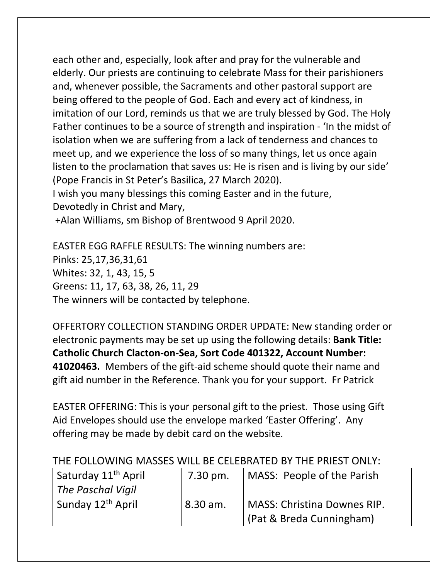each other and, especially, look after and pray for the vulnerable and elderly. Our priests are continuing to celebrate Mass for their parishioners and, whenever possible, the Sacraments and other pastoral support are being offered to the people of God. Each and every act of kindness, in imitation of our Lord, reminds us that we are truly blessed by God. The Holy Father continues to be a source of strength and inspiration - 'In the midst of isolation when we are suffering from a lack of tenderness and chances to meet up, and we experience the loss of so many things, let us once again listen to the proclamation that saves us: He is risen and is living by our side' (Pope Francis in St Peter's Basilica, 27 March 2020). I wish you many blessings this coming Easter and in the future,

Devotedly in Christ and Mary,

+Alan Williams, sm Bishop of Brentwood 9 April 2020.

EASTER EGG RAFFLE RESULTS: The winning numbers are: Pinks: 25,17,36,31,61 Whites: 32, 1, 43, 15, 5 Greens: 11, 17, 63, 38, 26, 11, 29 The winners will be contacted by telephone.

OFFERTORY COLLECTION STANDING ORDER UPDATE: New standing order or electronic payments may be set up using the following details: **Bank Title: Catholic Church Clacton-on-Sea, Sort Code 401322, Account Number: 41020463.** Members of the gift-aid scheme should quote their name and gift aid number in the Reference. Thank you for your support. Fr Patrick

EASTER OFFERING: This is your personal gift to the priest. Those using Gift Aid Envelopes should use the envelope marked 'Easter Offering'. Any offering may be made by debit card on the website.

| Saturday 11 <sup>th</sup> April | 7.30 pm. | MASS: People of the Parish  |
|---------------------------------|----------|-----------------------------|
| The Paschal Vigil               |          |                             |
| Sunday 12 <sup>th</sup> April   | 8.30 am. | MASS: Christina Downes RIP. |
|                                 |          | (Pat & Breda Cunningham)    |

## THE FOLLOWING MASSES WILL BE CELEBRATED BY THE PRIEST ONLY: